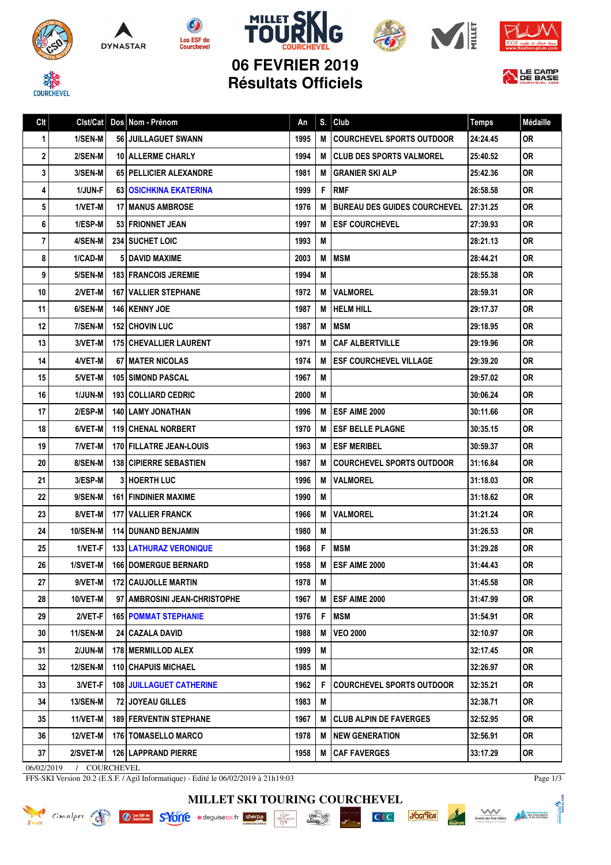









LE CAMP

MILLET

**06 FEVRIER 2019 Résultats Officiels**

Clt Clst/Cat Dos Nom - Prénom and An S. Club Temps Médaille

| 1 <sup>1</sup> | 1/SEN-M         | 56 JUILLAGUET SWANN             | 1995 |     | <b>M ICOURCHEVEL SPORTS OUTDOOR</b> | 24:24.45 | 0R        |
|----------------|-----------------|---------------------------------|------|-----|-------------------------------------|----------|-----------|
| $\mathbf{2}$   | 2/SEN-M         | <b>10   ALLERME CHARLY</b>      | 1994 |     | <b>M ICLUB DES SPORTS VALMOREL</b>  | 25:40.52 | 0R.       |
| 3 <sup>1</sup> | 3/SEN-M         | 65   PELLICIER ALEXANDRE        | 1981 | M   | <b>GRANIER SKI ALP</b>              | 25:42.36 | 0R        |
| $\vert$        | <b>1/JUN-F</b>  | <b>63   OSICHKINA EKATERINA</b> | 1999 | F   | <b>RMF</b>                          | 26:58.58 | 0R        |
| 5 <sup>1</sup> | 1/VET-M         | <b>17 MANUS AMBROSE</b>         | 1976 | M   | <b>BUREAU DES GUIDES COURCHEVEL</b> | 27:31.25 | 0R        |
| 6              | 1/ESP-M         | 53 FRIONNET JEAN                | 1997 | M   | <b>ESF COURCHEVEL</b>               | 27:39.93 | 0R        |
| $\overline{7}$ | 4/SEN-M         | <b>234 SUCHET LOIC</b>          | 1993 | M   |                                     | 28:21.13 | 0R        |
| 8              | 1/CAD-M         | <b>51 DAVID MAXIME</b>          | 2003 |     | <b>MIMSM</b>                        | 28:44.21 | 0R.       |
| 9              | 5/SEN-M         | <b>183   FRANCOIS JEREMIE</b>   | 1994 | M   |                                     | 28:55.38 | 0R        |
| 10             | 2/VET-M         | <b>167 I VALLIER STEPHANE</b>   | 1972 |     | <b>M IVALMOREL</b>                  | 28:59.31 | 0R        |
| 11             | 6/SEN-M         | <b>146   KENNY JOE</b>          | 1987 |     | <b>M IHELM HILL</b>                 | 29:17.37 | 0R        |
| 12             | 7/SEN-M         | <b>152   CHOVIN LUC</b>         | 1987 |     | <b>MIMSM</b>                        | 29:18.95 | 0R        |
| 13             | 3/VET-M         | <b>175   CHEVALLIER LAURENT</b> | 1971 | M   | <b>CAF ALBERTVILLE</b>              | 29:19.96 | 0R        |
| 14             | 4/VET-M         | <b>67 I MATER NICOLAS</b>       | 1974 | M   | <b>ESF COURCHEVEL VILLAGE</b>       | 29:39.20 | 0R        |
| 15             | 5/VET-M         | <b>105 SIMOND PASCAL</b>        | 1967 | M   |                                     | 29:57.02 | <b>OR</b> |
| 16             | <b>1/JUN-M</b>  | <b>193   COLLIARD CEDRIC</b>    | 2000 | M   |                                     | 30:06.24 | 0R        |
| 17             | 2/ESP-M         | <b>140   LAMY JONATHAN</b>      | 1996 |     | M IESF AIME 2000                    | 30:11.66 | 0R        |
| 18             | 6/VET-M         | <b>119 CHENAL NORBERT</b>       | 1970 |     | <b>M LESF BELLE PLAGNE</b>          | 30:35.15 | 0R        |
| 19             | 7/VET-M         | <b>170 FILLATRE JEAN-LOUIS</b>  | 1963 |     | <b>M IESF MERIBEL</b>               | 30:59.37 | 0R        |
| 20             | 8/SEN-M         | <b>138 CIPIERRE SEBASTIEN</b>   | 1987 |     | <b>M ICOURCHEVEL SPORTS OUTDOOR</b> | 31:16.84 | 0R        |
| 21             | 3/ESP-M         | <b>3 HOERTH LUC</b>             | 1996 | мı  | <b>VALMOREL</b>                     | 31:18.03 | 0R        |
| 22             | 9/SEN-M         | <b>161 FINDINIER MAXIME</b>     | 1990 | M   |                                     | 31:18.62 | 0R        |
| 23             | 8/VET-M         | <b>177 I VALLIER FRANCK</b>     | 1966 | M I | <b>VALMOREL</b>                     | 31:21.24 | 0R        |
| 24             | 10/SEN-M        | <b>114 DUNAND BENJAMIN</b>      | 1980 | M   |                                     | 31:26.53 | 0R        |
| 25             | $1/NET-F$       | <b>133   LATHURAZ VERONIQUE</b> | 1968 | F.  | <b>MSM</b>                          | 31:29.28 | 0R        |
| 26             | 1/SVET-M        | <b>166   DOMERGUE BERNARD</b>   | 1958 | М   | <b>ESF AIME 2000</b>                | 31:44.43 | <b>OR</b> |
| 27             | 9/VET-M         | <b>172 CAUJOLLE MARTIN</b>      | 1978 | M   |                                     | 31:45.58 | 0R        |
| 28             | 10/VET-M        | 97 AMBROSINI JEAN-CHRISTOPHE    |      |     | 1967   M   ESF AIME 2000            | 31:47.99 | <b>OR</b> |
| 29             | 2/VET-F         | <b>165   POMMAT STEPHANIE</b>   | 1976 | F   | <b>MSM</b>                          | 31:54.91 | 0R        |
| 30             | 11/SEN-M        | 24   CAZALA DAVID               | 1988 | M   | <b>VEO 2000</b>                     | 32:10.97 | <b>OR</b> |
| 31             | 2/JUN-M         | 178   MERMILLOD ALEX            | 1999 | M   |                                     | 32:17.45 | OR        |
| 32             | 12/SEN-M        | 110   CHAPUIS MICHAEL           | 1985 | M   |                                     | 32:26.97 | 0R        |
| 33             | 3/VET-F         | <b>108 JUILLAGUET CATHERINE</b> | 1962 | F.  | <b>COURCHEVEL SPORTS OUTDOOR</b>    | 32:35.21 | 0R.       |
| 34             | <b>13/SEN-M</b> | 72 JOYEAU GILLES                | 1983 | M   |                                     | 32:38.71 | 0R        |
| 35             | 11/VET-M        | <b>189 FERVENTIN STEPHANE</b>   | 1967 | M I | <b>CLUB ALPIN DE FAVERGES</b>       | 32:52.95 | 0R        |
| 36             | 12/VET-M        | 176   TOMASELLO MARCO           | 1978 |     | M   NEW GENERATION                  | 32:56.91 | OR        |

06/02/2019 / COURCHEVEL

FFS-SKI Version 20.2 (E.S.F. / Agil Informatique) - Edité le 06/02/2019 à 21h19:03

Page 1/3

**ABNESS** 

**MILLET SKI TOURING COURCHEVEL**

37 | 2/SVET-M | 126 LAPPRAND PIERRE | 1958 | M CAF FAVERGES | 33:17.29 | OR



 $\frac{\text{chez}}{\text{Gaulols}}$ **ALARD**<br>MAGRAND-



*<u><b>JOGITEA*</u>

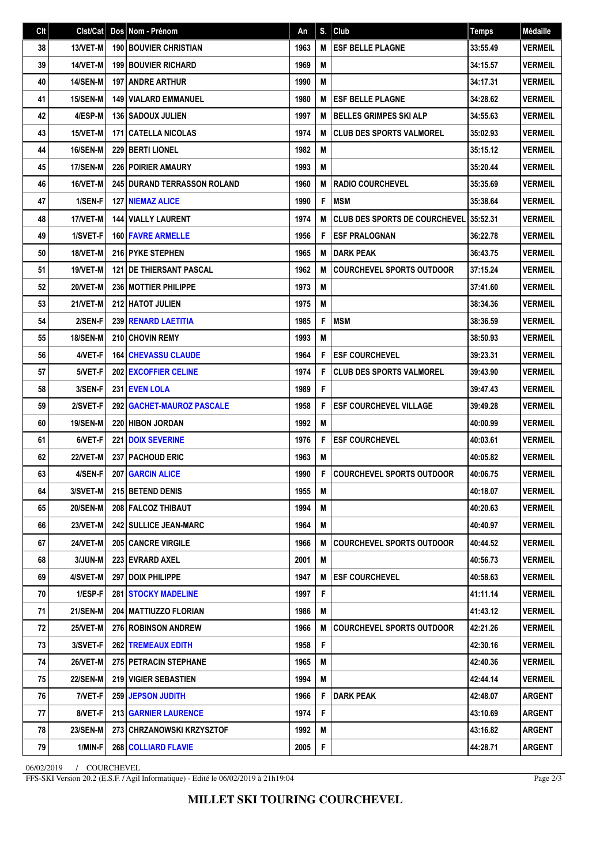| Clt | Clst/Cat        | Dos Nom - Prénom                   | An   | S.          | Club                                 | <b>Temps</b> | Médaille       |
|-----|-----------------|------------------------------------|------|-------------|--------------------------------------|--------------|----------------|
| 38  | 13/VET-M        | <b>190 BOUVIER CHRISTIAN</b>       | 1963 | M           | <b>ESF BELLE PLAGNE</b>              | 33:55.49     | <b>VERMEIL</b> |
| 39  | 14/VET-M        | <b>199 BOUVIER RICHARD</b>         | 1969 | M           |                                      | 34:15.57     | <b>VERMEIL</b> |
| 40  | <b>14/SEN-M</b> | 197 ANDRE ARTHUR                   | 1990 | M           |                                      | 34:17.31     | <b>VERMEIL</b> |
| 41  | 15/SEN-M        | <b>149 VIALARD EMMANUEL</b>        | 1980 | M           | <b>ESF BELLE PLAGNE</b>              | 34:28.62     | <b>VERMEIL</b> |
| 42  | 4/ESP-M         | 136 SADOUX JULIEN                  | 1997 | M           | <b>BELLES GRIMPES SKI ALP</b>        | 34:55.63     | <b>VERMEIL</b> |
| 43  | 15/VET-M        | <b>171 CATELLA NICOLAS</b>         | 1974 | M           | <b>CLUB DES SPORTS VALMOREL</b>      | 35:02.93     | <b>VERMEIL</b> |
| 44  | 16/SEN-M        | 229 BERTI LIONEL                   | 1982 | M           |                                      | 35:15.12     | <b>VERMEIL</b> |
| 45  | 17/SEN-M        | <b>226 POIRIER AMAURY</b>          | 1993 | M           |                                      | 35:20.44     | <b>VERMEIL</b> |
| 46  | 16/VET-M        | <b>245 DURAND TERRASSON ROLAND</b> | 1960 | M           | <b>RADIO COURCHEVEL</b>              | 35:35.69     | <b>VERMEIL</b> |
| 47  | 1/SEN-F         | <b>127 INIEMAZ ALICE</b>           | 1990 | F           | <b>MSM</b>                           | 35:38.64     | <b>VERMEIL</b> |
| 48  | 17/VET-M        | <b>144   VIALLY LAURENT</b>        | 1974 | M           | <b>CLUB DES SPORTS DE COURCHEVEL</b> | 35:52.31     | <b>VERMEIL</b> |
| 49  | 1/SVET-F        | <b>160 FAVRE ARMELLE</b>           | 1956 | F           | <b>ESF PRALOGNAN</b>                 | 36:22.78     | <b>VERMEIL</b> |
| 50  | 18/VET-M        | 216 PYKE STEPHEN                   | 1965 | M           | <b>DARK PEAK</b>                     | 36:43.75     | <b>VERMEIL</b> |
| 51  | 19/VET-M        | 121   DE THIERSANT PASCAL          | 1962 | M           | <b>COURCHEVEL SPORTS OUTDOOR</b>     | 37:15.24     | <b>VERMEIL</b> |
| 52  | 20/VET-M        | <b>236   MOTTIER PHILIPPE</b>      | 1973 | M           |                                      | 37:41.60     | <b>VERMEIL</b> |
| 53  | 21/VET-M        | <b>212 HATOT JULIEN</b>            | 1975 | M           |                                      | 38:34.36     | <b>VERMEIL</b> |
| 54  | 2/SEN-F         | 239 RENARD LAETITIA                | 1985 | F           | <b>MSM</b>                           | 38:36.59     | <b>VERMEIL</b> |
| 55  | 18/SEN-M        | 210 CHOVIN REMY                    | 1993 | M           |                                      | 38:50.93     | <b>VERMEIL</b> |
| 56  | 4/VET-F         | <b>164 CHEVASSU CLAUDE</b>         | 1964 | F           | <b>ESF COURCHEVEL</b>                | 39:23.31     | <b>VERMEIL</b> |
| 57  | 5/VET-F         | 202 EXCOFFIER CELINE               | 1974 | F           | <b>CLUB DES SPORTS VALMOREL</b>      | 39:43.90     | <b>VERMEIL</b> |
| 58  | 3/SEN-F         | 231 EVEN LOLA                      | 1989 | F           |                                      | 39:47.43     | <b>VERMEIL</b> |
| 59  | 2/SVET-F        | 292   GACHET-MAUROZ PASCALE        | 1958 | F           | <b>ESF COURCHEVEL VILLAGE</b>        | 39:49.28     | <b>VERMEIL</b> |
| 60  | <b>19/SEN-M</b> | <b>220 HIBON JORDAN</b>            | 1992 | M           |                                      | 40:00.99     | <b>VERMEIL</b> |
| 61  | 6/VET-F         | <b>221   DOIX SEVERINE</b>         | 1976 | F           | <b>ESF COURCHEVEL</b>                | 40:03.61     | <b>VERMEIL</b> |
| 62  | <b>22/VET-M</b> | <b>237   PACHOUD ERIC</b>          | 1963 | M           |                                      | 40:05.82     | <b>VERMEIL</b> |
| 63  | 4/SEN-F         | <b>207 GARCIN ALICE</b>            | 1990 | F           | <b>COURCHEVEL SPORTS OUTDOOR</b>     | 40:06.75     | <b>VERMEIL</b> |
| 64  | 3/SVET-M        | 215 BETEND DENIS                   | 1955 | M           |                                      | 40:18.07     | <b>VERMEIL</b> |
| 65  | <b>20/SEN-M</b> | 208 FALCOZ THIBAUT                 | 1994 | M           |                                      | 40:20.63     | <b>VERMEIL</b> |
| 66  | 23/VET-M        | <b>242   SULLICE JEAN-MARC</b>     | 1964 | M           |                                      | 40:40.97     | <b>VERMEIL</b> |
| 67  | 24/VET-M        | <b>205 CANCRE VIRGILE</b>          | 1966 | M           | <b>COURCHEVEL SPORTS OUTDOOR</b>     | 40:44.52     | <b>VERMEIL</b> |
| 68  | 3/JUN-M         | 223 EVRARD AXEL                    | 2001 | M           |                                      | 40:56.73     | <b>VERMEIL</b> |
| 69  | 4/SVET-M        | <b>297   DOIX PHILIPPE</b>         | 1947 | M           | <b>ESF COURCHEVEL</b>                | 40:58.63     | <b>VERMEIL</b> |
| 70  | $1/ESP-F$       | <b>281   STOCKY MADELINE</b>       | 1997 | F           |                                      | 41:11.14     | <b>VERMEIL</b> |
| 71  | <b>21/SEN-M</b> | 204   MATTIUZZO FLORIAN            | 1986 | M           |                                      | 41:43.12     | <b>VERMEIL</b> |
| 72  | 25/VET-M        | <b>276 ROBINSON ANDREW</b>         | 1966 | M           | <b>COURCHEVEL SPORTS OUTDOOR</b>     | 42:21.26     | <b>VERMEIL</b> |
| 73  | 3/SVET-F        | <b>262   TREMEAUX EDITH</b>        | 1958 | F           |                                      | 42:30.16     | <b>VERMEIL</b> |
| 74  | <b>26/VET-M</b> | <b>275 PETRACIN STEPHANE</b>       | 1965 | M           |                                      | 42:40.36     | <b>VERMEIL</b> |
| 75  | <b>22/SEN-M</b> | 219 VIGIER SEBASTIEN               | 1994 | M           |                                      | 42:44.14     | <b>VERMEIL</b> |
| 76  | 7/VET-F         | <b>259 JEPSON JUDITH</b>           | 1966 | F           | <b>DARK PEAK</b>                     | 42:48.07     | <b>ARGENT</b>  |
| 77  | 8/VET-F         | <b>213 GARNIER LAURENCE</b>        | 1974 | F           |                                      | 43:10.69     | <b>ARGENT</b>  |
| 78  | <b>23/SEN-M</b> | 273   CHRZANOWSKI KRZYSZTOF        | 1992 | M           |                                      | 43:16.82     | <b>ARGENT</b>  |
| 79  | 1/MIN-F         | 268 COLLIARD FLAVIE                | 2005 | $\mathsf F$ |                                      | 44:28.71     | <b>ARGENT</b>  |

06/02/2019 / COURCHEVEL

FFS-SKI Version 20.2 (E.S.F. / Agil Informatique) - Edité le 06/02/2019 à 21h19:04

Page 2/3

**MILLET SKI TOURING COURCHEVEL**